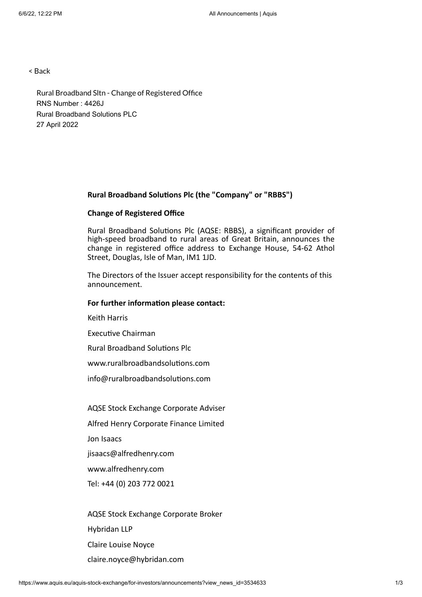< Back

Rural Broadband Sltn - Change of Registered Office RNS Number : 4426J Rural Broadband Solutions PLC 27 April 2022

#### **Rural Broadband Solutions Plc (the "Company" or "RBBS")**

## **Change of Registered Office**

Rural Broadband Solutions Plc (AQSE: RBBS), a significant provider of high-speed broadband to rural areas of Great Britain, announces the change in registered office address to Exchange House, 54-62 Athol Street, Douglas, Isle of Man, IM1 1JD.

The Directors of the Issuer accept responsibility for the contents of this announcement.

## **For further information please contact:**

Keith Harris

Executive Chairman

Rural Broadband Solutions Plc

www.ruralbroadbandsolutions.com

info@ruralbroadbandsolutions.com

AQSE Stock Exchange Corporate Adviser

Alfred Henry Corporate Finance Limited

Jon Isaacs

jisaacs@alfredhenry.com

www.alfredhenry.com

Tel: +44 (0) 203 772 0021

AQSE Stock Exchange Corporate Broker Hybridan LLP Claire Louise Noyce claire.noyce@hybridan.com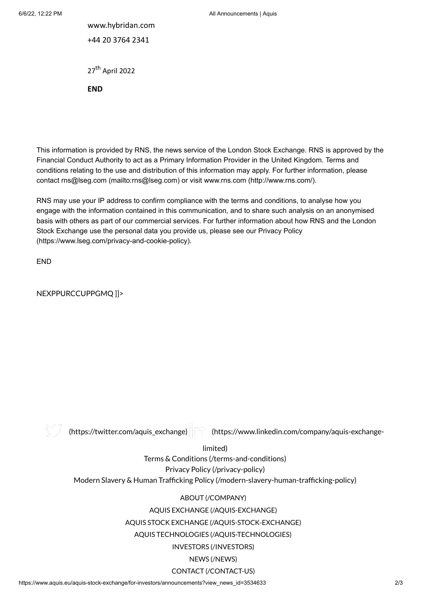www.hybridan.com +44 20 3764 2341

27<sup>th</sup> April 2022

**END**

This information is provided by RNS, the news service of the London Stock Exchange. RNS is approved by the Financial Conduct Authority to act as a Primary Information Provider in the United Kingdom. Terms and conditions relating to the use and distribution of this information may apply. For further information, please contact rns@lseg.com [\(mailto:rns@lseg.com\)](mailto:rns@lseg.com) or visit www.rns.com [\(http://www.rns.com/\)](http://www.rns.com/).

RNS may use your IP address to confirm compliance with the terms and conditions, to analyse how you engage with the information contained in this communication, and to share such analysis on an anonymised basis with others as part of our commercial services. For further information about how RNS and the London Stock Exchange use the personal data you provide us, please see our Privacy Policy [\(https://www.lseg.com/privacy-and-cookie-policy\).](https://www.lseg.com/privacy-and-cookie-policy)

END

NEXPPURCCUPPGMQ ]]>



[\(https://twitter.com/aquis\\_exchange\)](https://twitter.com/aquis_exchange) [\(https://www.linkedin.com/company/aquis-exchange-](https://www.linkedin.com/company/aquis-exchange-limited)

limited)

Terms & Conditions [\(/terms-and-conditions\)](https://www.aquis.eu/terms-and-conditions) Privacy Policy [\(/privacy-policy\)](https://www.aquis.eu/privacy-policy) Modern Slavery & Human Trafficking Policy [\(/modern-slavery-human-trafficking-policy\)](https://www.aquis.eu/modern-slavery-human-trafficking-policy)

# ABOUT [\(/COMPANY\)](https://www.aquis.eu/company)

AQUIS EXCHANGE [\(/AQUIS-EXCHANGE\)](https://www.aquis.eu/aquis-exchange)

AQUIS STOCK EXCHANGE [\(/AQUIS-STOCK-EXCHANGE\)](https://www.aquis.eu/aquis-stock-exchange)

AQUIS TECHNOLOGIES [\(/AQUIS-TECHNOLOGIES\)](https://www.aquis.eu/aquis-technologies)

INVESTORS [\(/INVESTORS\)](https://www.aquis.eu/investors)

## NEWS [\(/NEWS\)](https://www.aquis.eu/news)

# CONTACT [\(/CONTACT-US\)](https://www.aquis.eu/contact-us)

https://www.aquis.eu/aquis-stock-exchange/for-investors/announcements?view\_news\_id=3534633 2/3